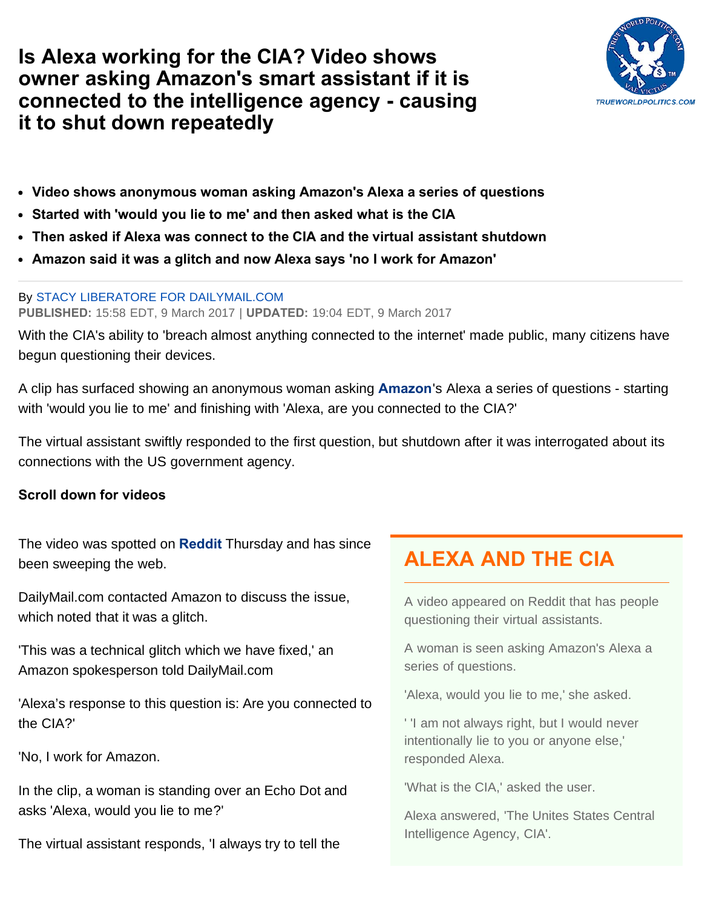**Is Alexa working for the CIA? Video shows owner asking Amazon's smart assistant if it is [connected to the intelligence agency - causing](http://www.dailymail.co.uk/sciencetech/article-4298698/Woman-asks-Amazon-s-Alexa-s-connected-CIA.html) it to shut down repeatedly**



- **Video shows anonymous woman asking Amazon's Alexa a series of questions**
- **Started with 'would you lie to me' and then asked what is the CIA**
- **Then asked if Alexa was connect to the CIA and the virtual assistant shutdown**
- **Amazon said it was a glitch and now Alexa says 'no I work for Amazon'**

## By [STACY LIBERATORE FOR DAILYMAIL.COM](http://www.dailymail.co.uk/home/search.html?s=&authornamef=Stacy+Liberatore+For+Dailymail.com)

**PUBLISHED:** 15:58 EDT, 9 March 2017 | **UPDATED:** 19:04 EDT, 9 March 2017

[With the CIA's ability to 'breach almost anything connected to the internet' made public, m](http://www.trueworldpolitics.com/articles/dubious-intel-ops/images/alexa-cia-question-updated.mp4)any citizens have begun questioning their devices.

A clip has surfaced showing an anonymous woman asking **[Amazon](http://www.dailymail.co.uk/sciencetech/amazon/index.html)**'s Alexa a series of questions - starting with 'would you lie to me' and finishing with 'Alexa, are you connected to the CIA?'

The virtual assistant swiftly responded to the first question, but shutdown after it was interrogated about its connections with the US government agency.

## **Scroll down for videos**

The video was spotted on **[Reddit](https://www.reddit.com/r/videos/comments/5yeefj/alexa_are_you_connected_to_the_cia/?sort=top)** [T](https://www.reddit.com/r/videos/comments/5yeefj/alexa_are_you_connected_to_the_cia/?sort=top)hursday and has since been sweeping the web.

DailyMail.com contacted Amazon to discuss the issue, which noted that it was a glitch.

'This was a technical glitch which we have fixed,' an Amazon spokesperson told DailyMail.com

'Alexa's response to this question is: Are you connected to the CIA?'

'No, I work for Amazon.

In the clip, a woman is standing over an Echo Dot and asks 'Alexa, would you lie to me?'

The virtual assistant responds, 'I always try to tell the

## **ALEXA AND THE CIA**

A video appeared on Reddit that has people questioning their virtual assistants.

A woman is seen asking Amazon's Alexa a series of questions.

'Alexa, would you lie to me,' she asked.

' 'I am not always right, but I would never intentionally lie to you or anyone else,' responded Alexa.

'What is the CIA,' asked the user.

Alexa answered, 'The Unites States Central Intelligence Agency, CIA'.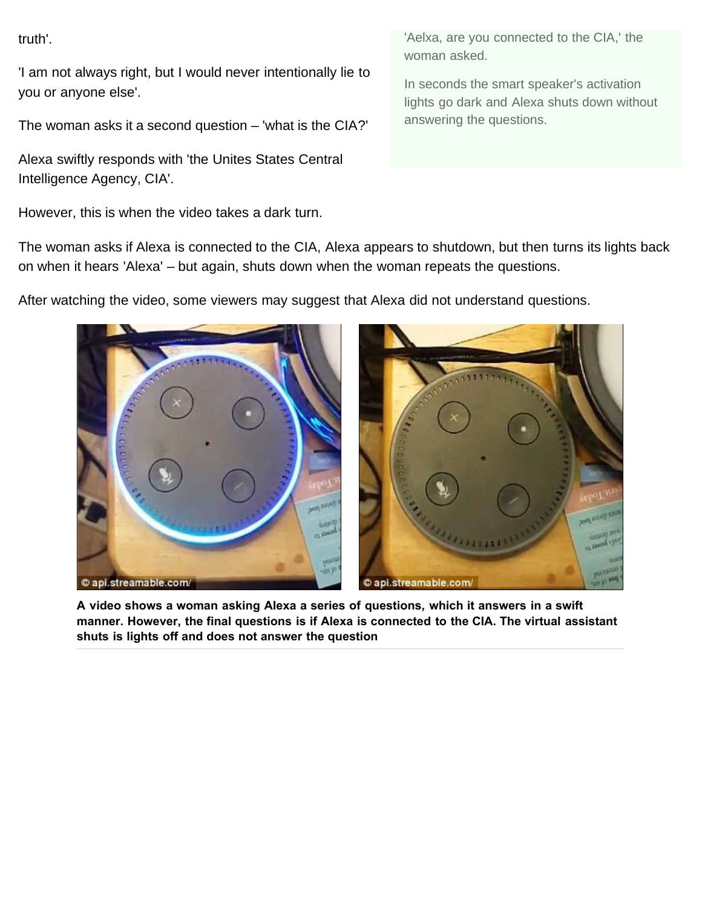truth'.

'I am not always right, but I would never intentionally lie to you or anyone else'.

The woman asks it a second question – 'what is the CIA?'

Alexa swiftly responds with 'the Unites States Central Intelligence Agency, CIA'.

However, this is when the video takes a dark turn.

'Aelxa, are you connected to the CIA,' the woman asked.

In seconds the smart speaker's activation lights go dark and Alexa shuts down without answering the questions.

The woman asks if Alexa is connected to the CIA, Alexa appears to shutdown, but then turns its lights back on when it hears 'Alexa' – but again, shuts down when the woman repeats the questions.

After watching the video, some viewers may suggest that Alexa did not understand questions.

**A video shows a woman asking Alexa a series of questions, which it answers in a swift manner. However, the final questions is if Alexa is connected to the CIA. The virtual assistant shuts is lights off and does not answer the question**

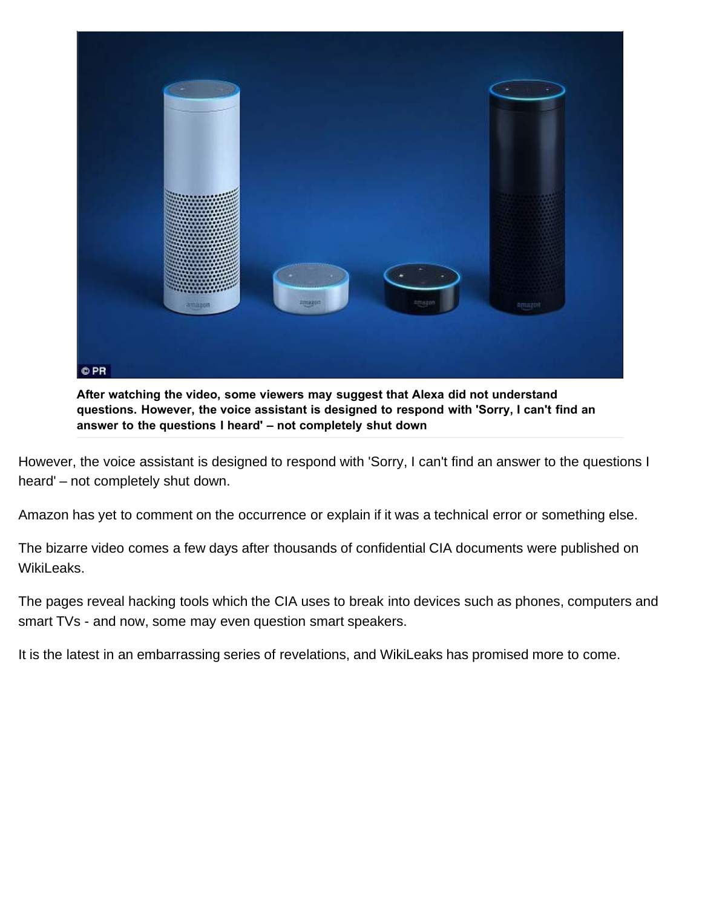

**After watching the video, some viewers may suggest that Alexa did not understand questions. However, the voice assistant is designed to respond with 'Sorry, I can't find an answer to the questions I heard' – not completely shut down**

However, the voice assistant is designed to respond with 'Sorry, I can't find an answer to the questions I heard' – not completely shut down.

Amazon has yet to comment on the occurrence or explain if it was a technical error or something else.

The bizarre video comes a few days after thousands of confidential CIA documents were published on WikiLeaks.

The pages reveal hacking tools which the CIA uses to break into devices such as phones, computers and smart TVs - and now, some may even question smart speakers.

It is the latest in an embarrassing series of revelations, and WikiLeaks has promised more to come.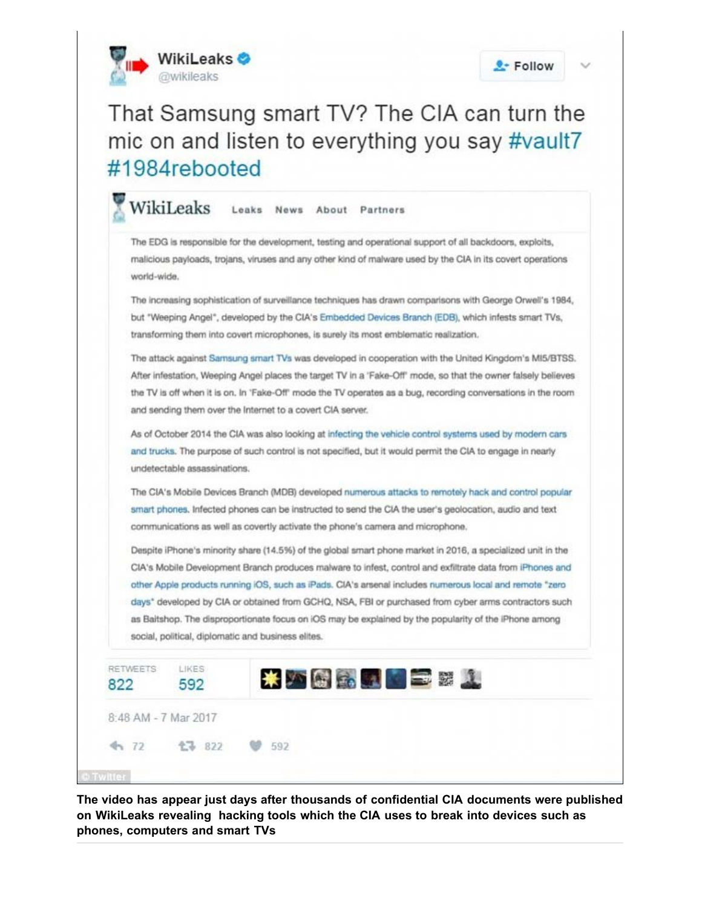



## That Samsung smart TV? The CIA can turn the mic on and listen to everything you say #vault7 #1984rebooted

| WikiLeaks            |                                                            | Leaks | News | About Partners                                                                                                 |
|----------------------|------------------------------------------------------------|-------|------|----------------------------------------------------------------------------------------------------------------|
|                      |                                                            |       |      | The EDG is responsible for the development, testing and operational support of all backdoors, exploits,        |
| world-wide.          |                                                            |       |      | malicious payloads, trojans, viruses and any other kind of malware used by the CIA in its covert operations    |
|                      |                                                            |       |      | The increasing sophistication of surveillance techniques has drawn comparisons with George Orwell's 1984,      |
|                      |                                                            |       |      | but "Weeping Angel", developed by the CIA's Embedded Devices Branch (EDB), which infests smart TVs,            |
|                      |                                                            |       |      | transforming them into covert microphones, is surely its most emblematic realization.                          |
|                      |                                                            |       |      | The attack against Samsung smart TVs was developed in cooperation with the United Kingdom's MI5/BTSS.          |
|                      |                                                            |       |      | After infestation, Weeping Angel places the target TV in a 'Fake-Off' mode, so that the owner falsely believes |
|                      |                                                            |       |      | the TV is off when it is on. In 'Fake-Off' mode the TV operates as a bug, recording conversations in the room  |
|                      | and sending them over the Internet to a covert CIA server. |       |      |                                                                                                                |
|                      |                                                            |       |      | As of October 2014 the CIA was also looking at infecting the vehicle control systems used by modern cars       |
|                      |                                                            |       |      | and trucks. The purpose of such control is not specified, but it would permit the CIA to engage in nearly      |
|                      | undetectable assassinations.                               |       |      |                                                                                                                |
|                      |                                                            |       |      | The CIA's Mobile Devices Branch (MDB) developed numerous attacks to remotely hack and control popular          |
|                      |                                                            |       |      | smart phones, Infected phones can be instructed to send the CIA the user's geolocation, audio and text         |
|                      |                                                            |       |      | communications as well as covertly activate the phone's camera and microphone.                                 |
|                      |                                                            |       |      | Despite iPhone's minority share (14.5%) of the global smart phone market in 2016, a specialized unit in the    |
|                      |                                                            |       |      | CIA's Mobile Development Branch produces malware to infest, control and exfiltrate data from iPhones and       |
|                      |                                                            |       |      | other Apple products running iOS, such as iPads. CIA's arsenal includes numerous local and remote "zero        |
|                      |                                                            |       |      | days" developed by CIA or obtained from GCHQ, NSA, FBI or purchased from cyber arms contractors such           |
|                      |                                                            |       |      | as Baltshop. The disproportionate focus on iOS may be explained by the popularity of the iPhone among          |
|                      | social, political, diplomatic and business elites.         |       |      |                                                                                                                |
| <b>RETWEETS</b>      | LIKES.                                                     |       |      |                                                                                                                |
| 822                  | 592                                                        |       |      | 米外岛岛界国王别人                                                                                                      |
| 8:48 AM - 7 Mar 2017 |                                                            |       |      |                                                                                                                |
|                      |                                                            |       |      |                                                                                                                |
| 4 72 七子 822          |                                                            |       | 592  |                                                                                                                |

**The video has appear just days after thousands of confidential CIA documents were published on WikiLeaks revealing hacking tools which the CIA uses to break into devices such as phones, computers and smart TVs**